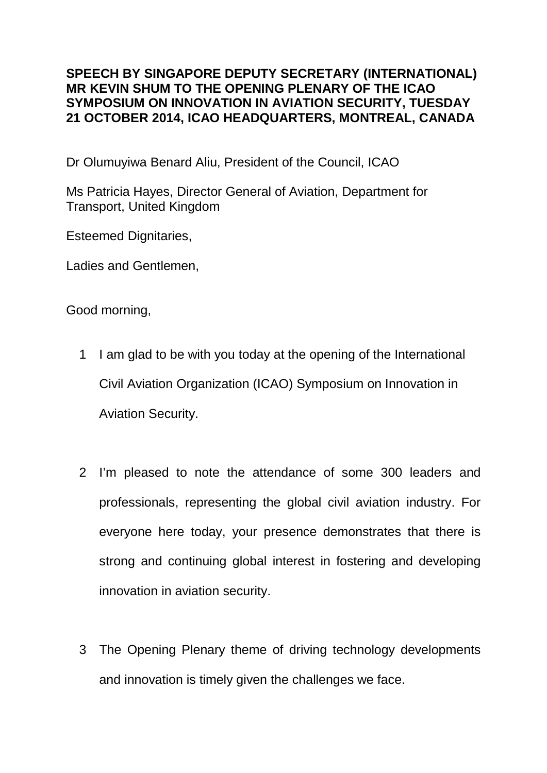## **SPEECH BY SINGAPORE DEPUTY SECRETARY (INTERNATIONAL) MR KEVIN SHUM TO THE OPENING PLENARY OF THE ICAO SYMPOSIUM ON INNOVATION IN AVIATION SECURITY, TUESDAY 21 OCTOBER 2014, ICAO HEADQUARTERS, MONTREAL, CANADA**

Dr Olumuyiwa Benard Aliu, President of the Council, ICAO

Ms Patricia Hayes, Director General of Aviation, Department for Transport, United Kingdom

Esteemed Dignitaries,

Ladies and Gentlemen,

Good morning,

- 1 I am glad to be with you today at the opening of the International Civil Aviation Organization (ICAO) Symposium on Innovation in Aviation Security.
- 2 I'm pleased to note the attendance of some 300 leaders and professionals, representing the global civil aviation industry. For everyone here today, your presence demonstrates that there is strong and continuing global interest in fostering and developing innovation in aviation security.
- 3 The Opening Plenary theme of driving technology developments and innovation is timely given the challenges we face.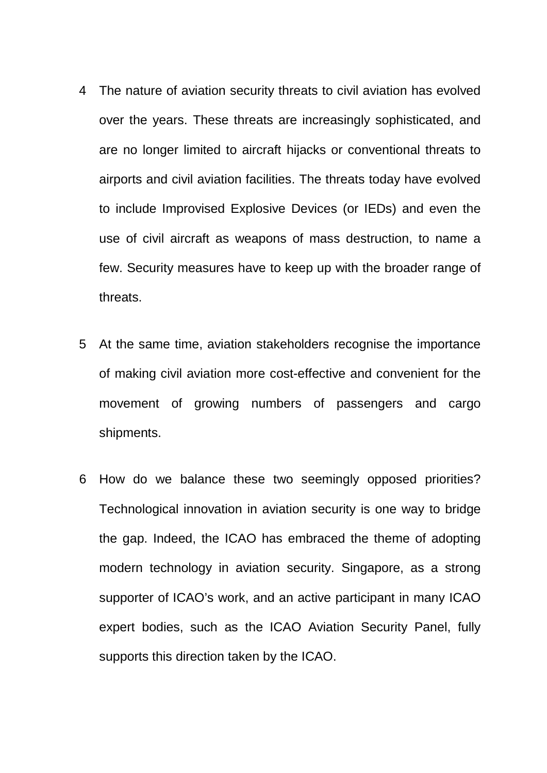- 4 The nature of aviation security threats to civil aviation has evolved over the years. These threats are increasingly sophisticated, and are no longer limited to aircraft hijacks or conventional threats to airports and civil aviation facilities. The threats today have evolved to include Improvised Explosive Devices (or IEDs) and even the use of civil aircraft as weapons of mass destruction, to name a few. Security measures have to keep up with the broader range of threats.
- 5 At the same time, aviation stakeholders recognise the importance of making civil aviation more cost-effective and convenient for the movement of growing numbers of passengers and cargo shipments.
- 6 How do we balance these two seemingly opposed priorities? Technological innovation in aviation security is one way to bridge the gap. Indeed, the ICAO has embraced the theme of adopting modern technology in aviation security. Singapore, as a strong supporter of ICAO's work, and an active participant in many ICAO expert bodies, such as the ICAO Aviation Security Panel, fully supports this direction taken by the ICAO.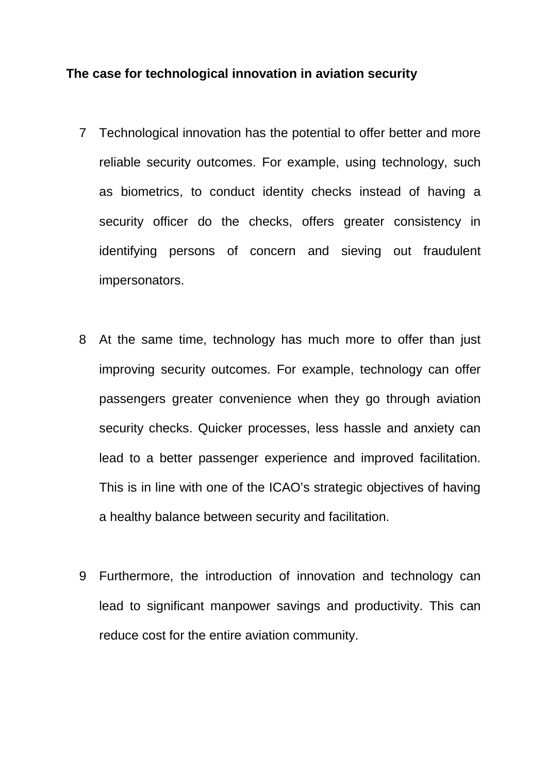#### **The case for technological innovation in aviation security**

- 7 Technological innovation has the potential to offer better and more reliable security outcomes. For example, using technology, such as biometrics, to conduct identity checks instead of having a security officer do the checks, offers greater consistency in identifying persons of concern and sieving out fraudulent impersonators.
- 8 At the same time, technology has much more to offer than just improving security outcomes. For example, technology can offer passengers greater convenience when they go through aviation security checks. Quicker processes, less hassle and anxiety can lead to a better passenger experience and improved facilitation. This is in line with one of the ICAO's strategic objectives of having a healthy balance between security and facilitation.
- 9 Furthermore, the introduction of innovation and technology can lead to significant manpower savings and productivity. This can reduce cost for the entire aviation community.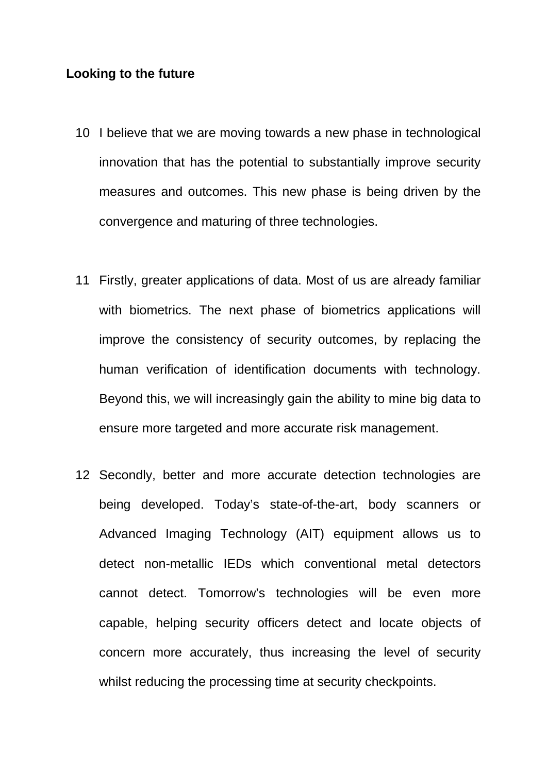### **Looking to the future**

- 10 I believe that we are moving towards a new phase in technological innovation that has the potential to substantially improve security measures and outcomes. This new phase is being driven by the convergence and maturing of three technologies.
- 11 Firstly, greater applications of data. Most of us are already familiar with biometrics. The next phase of biometrics applications will improve the consistency of security outcomes, by replacing the human verification of identification documents with technology. Beyond this, we will increasingly gain the ability to mine big data to ensure more targeted and more accurate risk management.
- 12 Secondly, better and more accurate detection technologies are being developed. Today's state-of-the-art, body scanners or Advanced Imaging Technology (AIT) equipment allows us to detect non-metallic IEDs which conventional metal detectors cannot detect. Tomorrow's technologies will be even more capable, helping security officers detect and locate objects of concern more accurately, thus increasing the level of security whilst reducing the processing time at security checkpoints.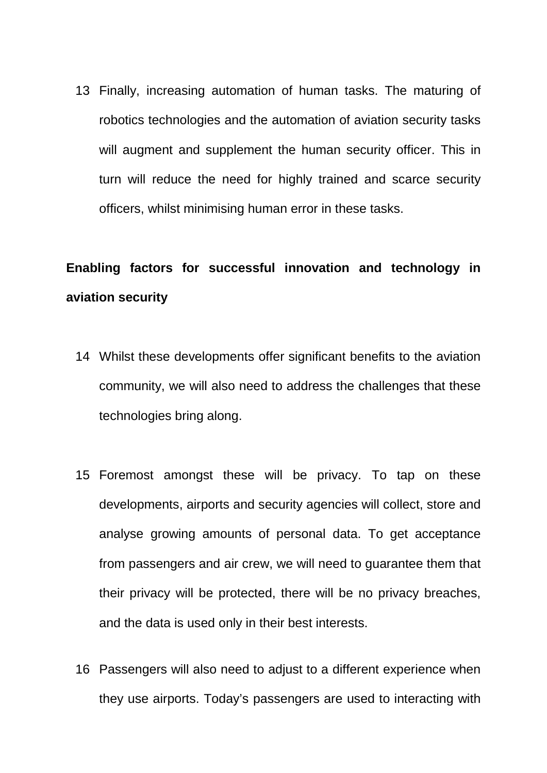13 Finally, increasing automation of human tasks. The maturing of robotics technologies and the automation of aviation security tasks will augment and supplement the human security officer. This in turn will reduce the need for highly trained and scarce security officers, whilst minimising human error in these tasks.

# **Enabling factors for successful innovation and technology in aviation security**

- 14 Whilst these developments offer significant benefits to the aviation community, we will also need to address the challenges that these technologies bring along.
- 15 Foremost amongst these will be privacy. To tap on these developments, airports and security agencies will collect, store and analyse growing amounts of personal data. To get acceptance from passengers and air crew, we will need to guarantee them that their privacy will be protected, there will be no privacy breaches, and the data is used only in their best interests.
- 16 Passengers will also need to adjust to a different experience when they use airports. Today's passengers are used to interacting with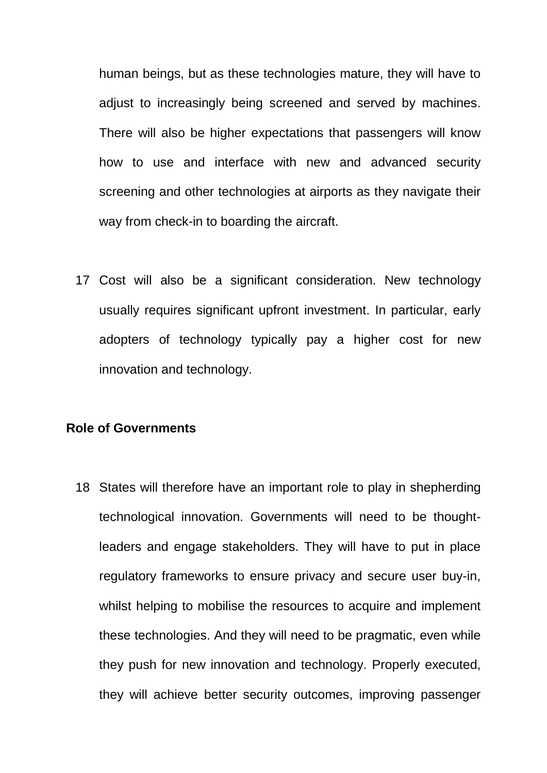human beings, but as these technologies mature, they will have to adjust to increasingly being screened and served by machines. There will also be higher expectations that passengers will know how to use and interface with new and advanced security screening and other technologies at airports as they navigate their way from check-in to boarding the aircraft.

17 Cost will also be a significant consideration. New technology usually requires significant upfront investment. In particular, early adopters of technology typically pay a higher cost for new innovation and technology.

### **Role of Governments**

18 States will therefore have an important role to play in shepherding technological innovation. Governments will need to be thoughtleaders and engage stakeholders. They will have to put in place regulatory frameworks to ensure privacy and secure user buy-in, whilst helping to mobilise the resources to acquire and implement these technologies. And they will need to be pragmatic, even while they push for new innovation and technology. Properly executed, they will achieve better security outcomes, improving passenger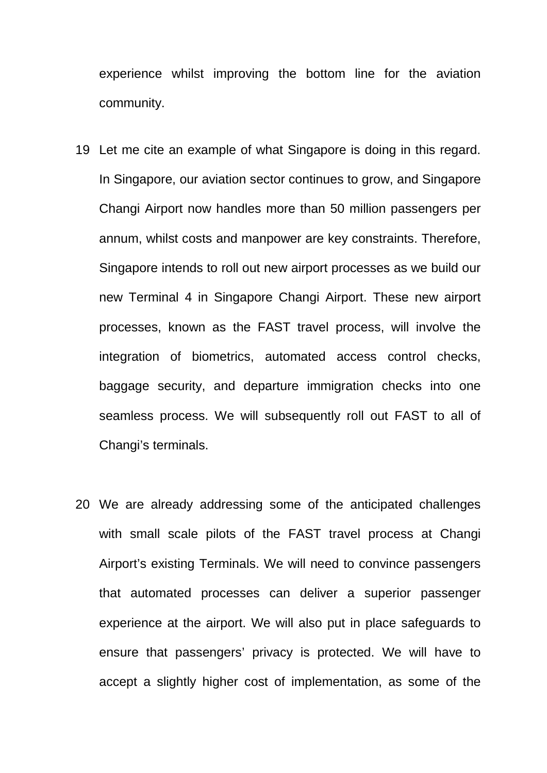experience whilst improving the bottom line for the aviation community.

- 19 Let me cite an example of what Singapore is doing in this regard. In Singapore, our aviation sector continues to grow, and Singapore Changi Airport now handles more than 50 million passengers per annum, whilst costs and manpower are key constraints. Therefore, Singapore intends to roll out new airport processes as we build our new Terminal 4 in Singapore Changi Airport. These new airport processes, known as the FAST travel process, will involve the integration of biometrics, automated access control checks, baggage security, and departure immigration checks into one seamless process. We will subsequently roll out FAST to all of Changi's terminals.
- 20 We are already addressing some of the anticipated challenges with small scale pilots of the FAST travel process at Changi Airport's existing Terminals. We will need to convince passengers that automated processes can deliver a superior passenger experience at the airport. We will also put in place safeguards to ensure that passengers' privacy is protected. We will have to accept a slightly higher cost of implementation, as some of the